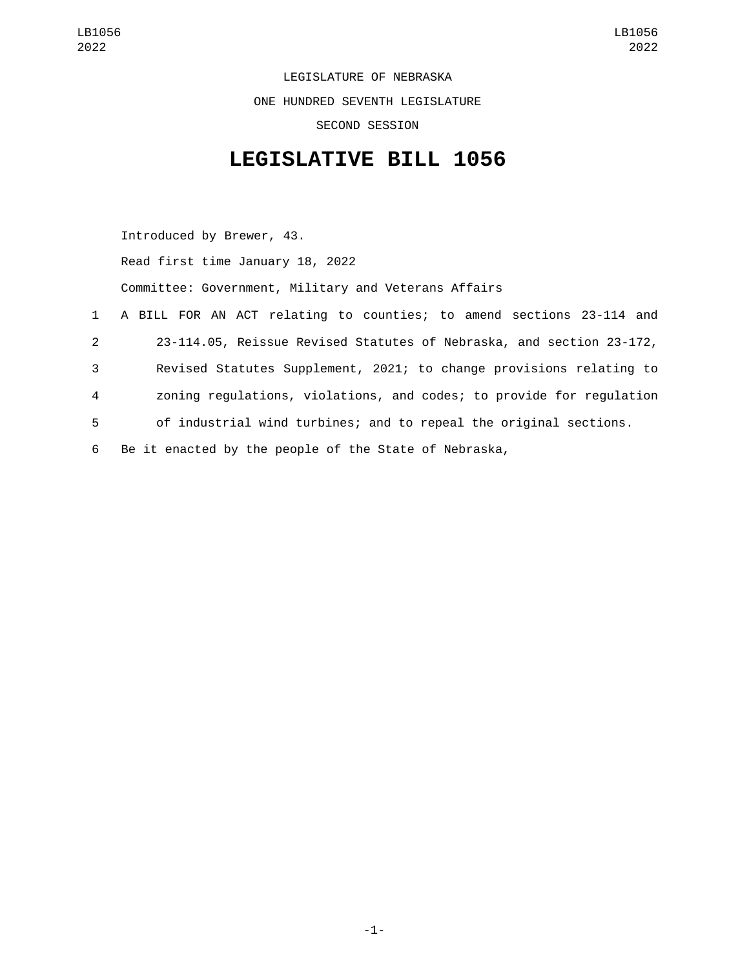LEGISLATURE OF NEBRASKA ONE HUNDRED SEVENTH LEGISLATURE SECOND SESSION

## **LEGISLATIVE BILL 1056**

Introduced by Brewer, 43. Read first time January 18, 2022 Committee: Government, Military and Veterans Affairs A BILL FOR AN ACT relating to counties; to amend sections 23-114 and 23-114.05, Reissue Revised Statutes of Nebraska, and section 23-172, Revised Statutes Supplement, 2021; to change provisions relating to zoning regulations, violations, and codes; to provide for regulation of industrial wind turbines; and to repeal the original sections. Be it enacted by the people of the State of Nebraska,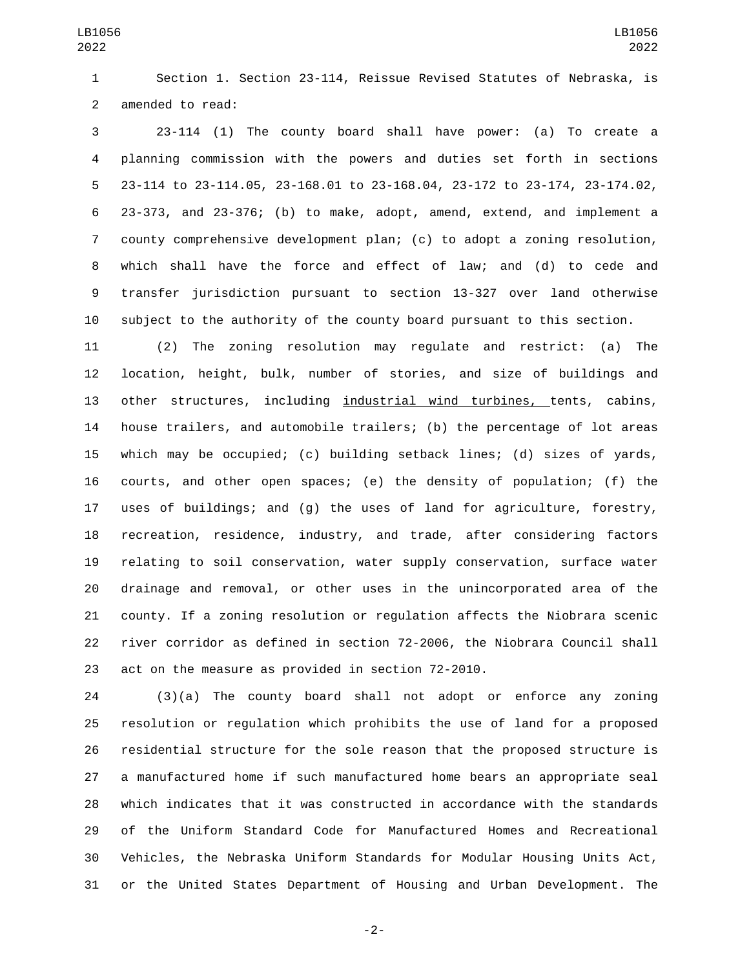Section 1. Section 23-114, Reissue Revised Statutes of Nebraska, is 2 amended to read:

 23-114 (1) The county board shall have power: (a) To create a planning commission with the powers and duties set forth in sections 23-114 to 23-114.05, 23-168.01 to 23-168.04, 23-172 to 23-174, 23-174.02, 23-373, and 23-376; (b) to make, adopt, amend, extend, and implement a county comprehensive development plan; (c) to adopt a zoning resolution, which shall have the force and effect of law; and (d) to cede and transfer jurisdiction pursuant to section 13-327 over land otherwise subject to the authority of the county board pursuant to this section.

 (2) The zoning resolution may regulate and restrict: (a) The location, height, bulk, number of stories, and size of buildings and other structures, including industrial wind turbines, tents, cabins, house trailers, and automobile trailers; (b) the percentage of lot areas which may be occupied; (c) building setback lines; (d) sizes of yards, courts, and other open spaces; (e) the density of population; (f) the uses of buildings; and (g) the uses of land for agriculture, forestry, recreation, residence, industry, and trade, after considering factors relating to soil conservation, water supply conservation, surface water drainage and removal, or other uses in the unincorporated area of the county. If a zoning resolution or regulation affects the Niobrara scenic river corridor as defined in section 72-2006, the Niobrara Council shall act on the measure as provided in section 72-2010.

 (3)(a) The county board shall not adopt or enforce any zoning resolution or regulation which prohibits the use of land for a proposed residential structure for the sole reason that the proposed structure is a manufactured home if such manufactured home bears an appropriate seal which indicates that it was constructed in accordance with the standards of the Uniform Standard Code for Manufactured Homes and Recreational Vehicles, the Nebraska Uniform Standards for Modular Housing Units Act, or the United States Department of Housing and Urban Development. The

-2-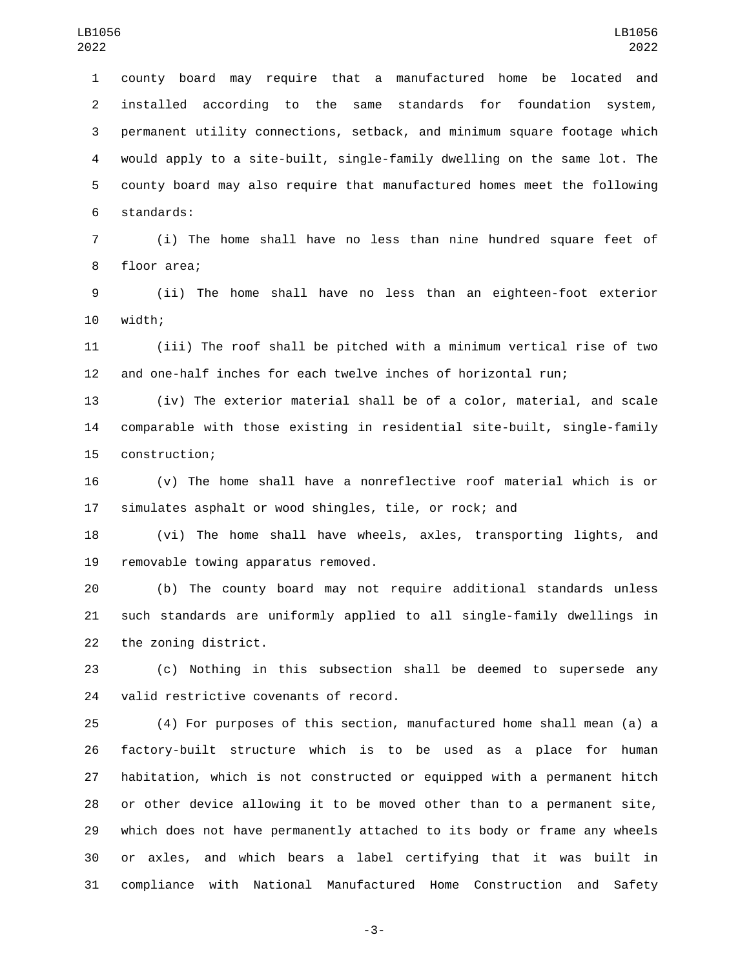county board may require that a manufactured home be located and installed according to the same standards for foundation system, permanent utility connections, setback, and minimum square footage which would apply to a site-built, single-family dwelling on the same lot. The county board may also require that manufactured homes meet the following 6 standards:

 (i) The home shall have no less than nine hundred square feet of 8 floor area;

 (ii) The home shall have no less than an eighteen-foot exterior 10 width;

 (iii) The roof shall be pitched with a minimum vertical rise of two and one-half inches for each twelve inches of horizontal run;

 (iv) The exterior material shall be of a color, material, and scale comparable with those existing in residential site-built, single-family 15 construction;

 (v) The home shall have a nonreflective roof material which is or simulates asphalt or wood shingles, tile, or rock; and

 (vi) The home shall have wheels, axles, transporting lights, and 19 removable towing apparatus removed.

 (b) The county board may not require additional standards unless such standards are uniformly applied to all single-family dwellings in 22 the zoning district.

 (c) Nothing in this subsection shall be deemed to supersede any 24 valid restrictive covenants of record.

 (4) For purposes of this section, manufactured home shall mean (a) a factory-built structure which is to be used as a place for human habitation, which is not constructed or equipped with a permanent hitch or other device allowing it to be moved other than to a permanent site, which does not have permanently attached to its body or frame any wheels or axles, and which bears a label certifying that it was built in compliance with National Manufactured Home Construction and Safety

-3-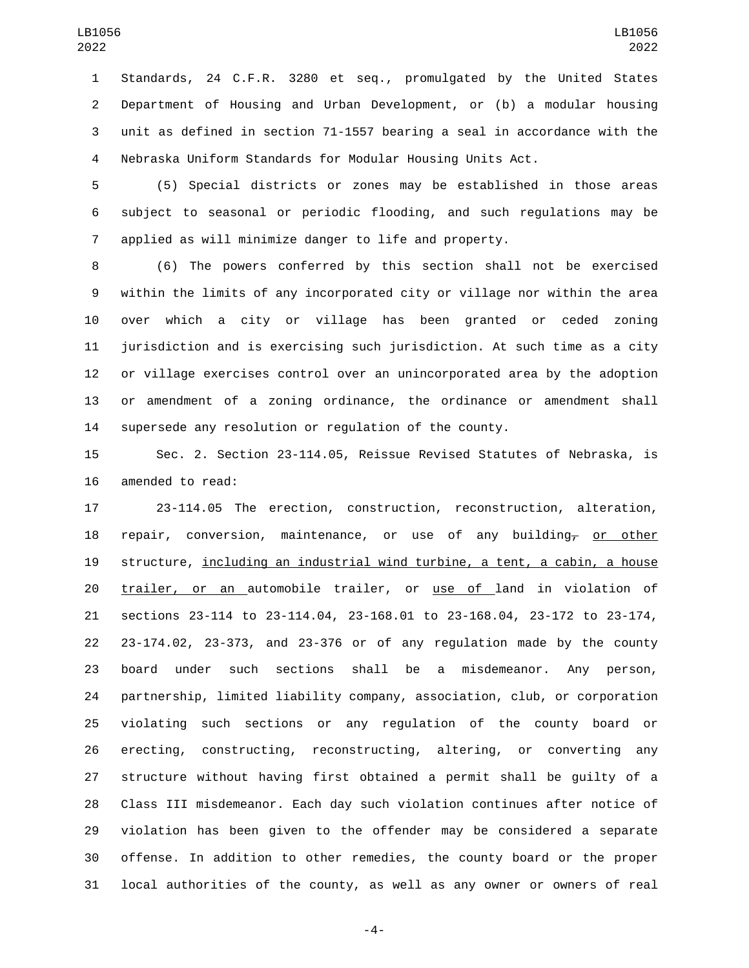Standards, 24 C.F.R. 3280 et seq., promulgated by the United States Department of Housing and Urban Development, or (b) a modular housing unit as defined in section 71-1557 bearing a seal in accordance with the Nebraska Uniform Standards for Modular Housing Units Act.

 (5) Special districts or zones may be established in those areas subject to seasonal or periodic flooding, and such regulations may be applied as will minimize danger to life and property.

 (6) The powers conferred by this section shall not be exercised within the limits of any incorporated city or village nor within the area over which a city or village has been granted or ceded zoning jurisdiction and is exercising such jurisdiction. At such time as a city or village exercises control over an unincorporated area by the adoption or amendment of a zoning ordinance, the ordinance or amendment shall supersede any resolution or regulation of the county.

 Sec. 2. Section 23-114.05, Reissue Revised Statutes of Nebraska, is 16 amended to read:

 23-114.05 The erection, construction, reconstruction, alteration, 18 repair, conversion, maintenance, or use of any building<sub> $\tau$ </sub> or other structure, including an industrial wind turbine, a tent, a cabin, a house trailer, or an automobile trailer, or use of land in violation of sections 23-114 to 23-114.04, 23-168.01 to 23-168.04, 23-172 to 23-174, 23-174.02, 23-373, and 23-376 or of any regulation made by the county board under such sections shall be a misdemeanor. Any person, partnership, limited liability company, association, club, or corporation violating such sections or any regulation of the county board or erecting, constructing, reconstructing, altering, or converting any structure without having first obtained a permit shall be guilty of a Class III misdemeanor. Each day such violation continues after notice of violation has been given to the offender may be considered a separate offense. In addition to other remedies, the county board or the proper local authorities of the county, as well as any owner or owners of real

-4-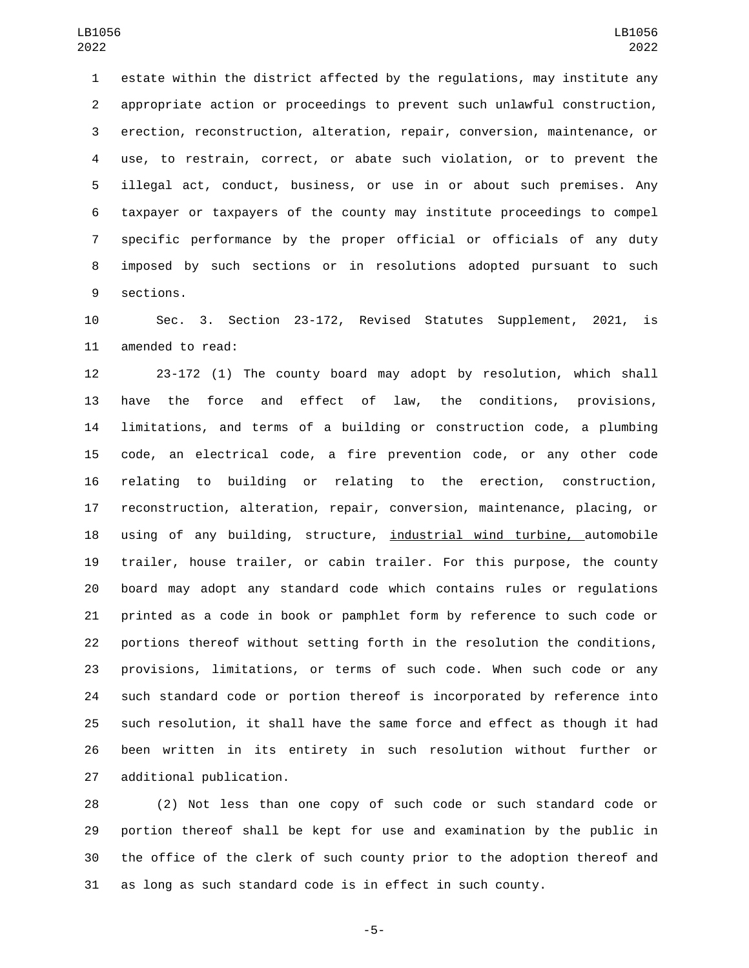estate within the district affected by the regulations, may institute any appropriate action or proceedings to prevent such unlawful construction, erection, reconstruction, alteration, repair, conversion, maintenance, or use, to restrain, correct, or abate such violation, or to prevent the illegal act, conduct, business, or use in or about such premises. Any taxpayer or taxpayers of the county may institute proceedings to compel specific performance by the proper official or officials of any duty imposed by such sections or in resolutions adopted pursuant to such 9 sections.

 Sec. 3. Section 23-172, Revised Statutes Supplement, 2021, is 11 amended to read:

 23-172 (1) The county board may adopt by resolution, which shall have the force and effect of law, the conditions, provisions, limitations, and terms of a building or construction code, a plumbing code, an electrical code, a fire prevention code, or any other code relating to building or relating to the erection, construction, reconstruction, alteration, repair, conversion, maintenance, placing, or using of any building, structure, industrial wind turbine, automobile trailer, house trailer, or cabin trailer. For this purpose, the county board may adopt any standard code which contains rules or regulations printed as a code in book or pamphlet form by reference to such code or portions thereof without setting forth in the resolution the conditions, provisions, limitations, or terms of such code. When such code or any such standard code or portion thereof is incorporated by reference into such resolution, it shall have the same force and effect as though it had been written in its entirety in such resolution without further or 27 additional publication.

 (2) Not less than one copy of such code or such standard code or portion thereof shall be kept for use and examination by the public in the office of the clerk of such county prior to the adoption thereof and as long as such standard code is in effect in such county.

-5-